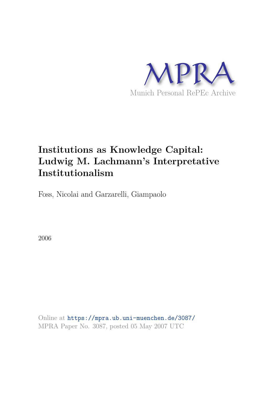

# **Institutions as Knowledge Capital: Ludwig M. Lachmann's Interpretative Institutionalism**

Foss, Nicolai and Garzarelli, Giampaolo

2006

Online at https://mpra.ub.uni-muenchen.de/3087/ MPRA Paper No. 3087, posted 05 May 2007 UTC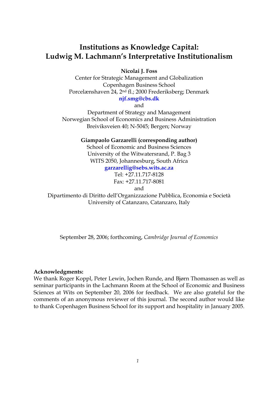# **Institutions as Knowledge Capital: Ludwig M. Lachmann's Interpretative Institutionalism**

**Nicolai J. Foss** 

Center for Strategic Management and Globalization Copenhagen Business School Porcelænshaven 24, 2nd fl.; 2000 Frederiksberg; Denmark **njf.smg@cbs.dk**

and

Department of Strategy and Management Norwegian School of Economics and Business Administration Breiviksveien 40; N-5045; Bergen; Norway

**Giampaolo Garzarelli (corresponding author)** 

School of Economic and Business Sciences University of the Witwatersrand, P. Bag 3 WITS 2050, Johannesburg, South Africa

### **garzarellig@sebs.wits.ac.za**

Tel: +27.11.717-8128 Fax: +27.11.717-8081 and

Dipartimento di Diritto dell'Organizzazione Pubblica, Economia e Società University of Catanzaro, Catanzaro, Italy

September 28, 2006; forthcoming, *Cambridge Journal of Economics*

#### **Acknowledgments:**

We thank Roger Koppl, Peter Lewin, Jochen Runde, and Bjørn Thomassen as well as seminar participants in the Lachmann Room at the School of Economic and Business Sciences at Wits on September 20, 2006 for feedback. We are also grateful for the comments of an anonymous reviewer of this journal. The second author would like to thank Copenhagen Business School for its support and hospitality in January 2005.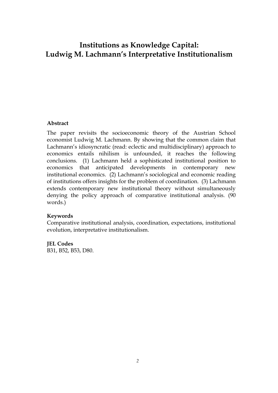# **Institutions as Knowledge Capital: Ludwig M. Lachmann's Interpretative Institutionalism**

#### **Abstract**

The paper revisits the socioeconomic theory of the Austrian School economist Ludwig M. Lachmann. By showing that the common claim that Lachmann's idiosyncratic (read: eclectic and multidisciplinary) approach to economics entails nihilism is unfounded, it reaches the following conclusions. (1) Lachmann held a sophisticated institutional position to economics that anticipated developments in contemporary new institutional economics. (2) Lachmann's sociological and economic reading of institutions offers insights for the problem of coordination. (3) Lachmann extends contemporary new institutional theory without simultaneously denying the policy approach of comparative institutional analysis. (90 words.)

#### **Keywords**

Comparative institutional analysis, coordination, expectations, institutional evolution, interpretative institutionalism.

# **JEL Codes**

B31, B52, B53, D80.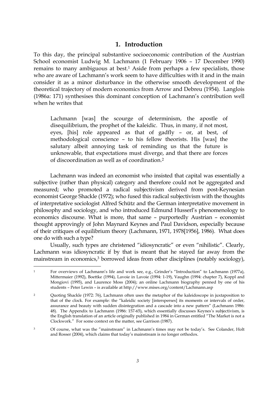### **1. Introduction**

To this day, the principal substantive socioeconomic contribution of the Austrian School economist Ludwig M. Lachmann (1 February 1906 – 17 December 1990) remains to many ambiguous at best.<sup>1</sup> Aside from perhaps a few specialists, those who are aware of Lachmann's work seem to have difficulties with it and in the main consider it as a minor disturbance in the otherwise smooth development of the theoretical trajectory of modern economics from Arrow and Debreu (1954). Langlois (1986a: 171) synthesises this dominant conception of Lachmann's contribution well when he writes that

Lachmann [was] the scourge of determinism, the apostle of disequilibrium, the prophet of the kaleidic. Thus, in many, if not most, eyes, [his] role appeared as that of gadfly – or, at best, of methodological conscience – to his fellow theorists. His [was] the salutary albeit annoying task of reminding us that the future is unknowable, that expectations must diverge, and that there are forces of discoordination as well as of coordination.<sup>2</sup>

 Lachmann was indeed an economist who insisted that capital was essentially a subjective (rather than physical) category and therefore could not be aggregated and measured; who promoted a radical subjectivism derived from post-Keynesian economist George Shackle (1972); who fused this radical subjectivism with the thoughts of interpretative sociologist Alfred Schütz and the German interpretative movement in philosophy and sociology, and who introduced Edmund Husserl's phenomenology to economics discourse. What is more, that same – purportedly Austrian – economist thought approvingly of John Maynard Keynes and Paul Davidson, especially because of their critiques of equilibrium theory (Lachmann, 1971, 1978[1956], 1986). What does one do with such a type?

 Usually, such types are christened "idiosyncratic" or even "nihilistic". Clearly, Lachmann was idiosyncratic if by that is meant that he stayed far away from the mainstream in economics,<sup>3</sup> borrowed ideas from other disciplines (notably sociology),

 $\overline{a}$ <sup>1</sup> For overviews of Lachmann's life and work see, e.g., Grinder's "Introduction" to Lachmann (1977a), Mittermaier (1992), Boettke (1994), Lavoie in Lavoie (1994: 1-19), Vaughn (1994: chapter 7), Koppl and Mongiovi (1995), and Laurence Moss (2004); an online Lachmann biography penned by one of his students – Peter Lewin – is available at http://www.mises.org/content/Lachmann.asp

<sup>2</sup> Quoting Shackle (1972: 76), Lachmann often uses the metaphor of the kaleidoscope in juxtaposition to that of the clock. For example: the "kaleidic society [intersperses] its moments or intervals of order, assurance and beauty with sudden disintegration and a cascade into a new pattern" (Lachmann 1986: 48). The Appendix to Lachmann (1986: 157-65), which essentially discusses Keynes's subjectivism, is the English translation of an article originally published in 1984 in German entitled "The Market is not a Clockwork." For some context on the matter, see Garrison (1987).

<sup>&</sup>lt;sup>3</sup> Of course, what was the "mainstream" in Lachmann's times may not be today's. See Colander, Holt and Rosser (2004), which claims that today's mainstream is no longer orthodox.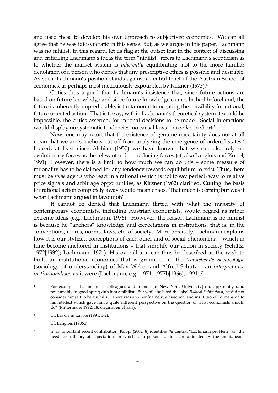and used these to develop his own approach to subjectivist economics. We can all agree that he was idiosyncratic in this sense. But, as we argue in this paper, Lachmann was no nihilist. In this regard, let us flag at the outset that in the context of discussing and criticizing Lachmann's ideas the term "nihilist" refers to Lachmann's scepticism as to whether the market system is *inherently* equilibrating; not to the more familiar denotation of a person who denies that any prescriptive ethics is possible and desirable. As such, Lachmann's position stands against a central tenet of the Austrian School of economics, as perhaps most meticulously expounded by Kirzner (1973).<sup>4</sup>

 Critics thus argued that Lachmann's insistence that, since future actions are based on future knowledge and since future knowledge cannot be had beforehand, the future is inherently unpredictable, is tantamount to negating the possibility for rational, future-oriented action. That is to say, within Lachmann's theoretical system it would be impossible, the critics asserted, for rational decisions to be made. Social interactions would display no systematic tendencies, no causal laws − no *order*, in short.<sup>5</sup>

 Now, one may retort that the existence of genuine uncertainty does not at all mean that we are somehow cut off from analyzing the emergence of ordered states.<sup>6</sup> Indeed, at least since Alchian (1950) we have known that we can also rely on evolutionary forces as the relevant order-producing forces (cf. also Langlois and Koppl, 1991). However, there is a limit to how much we can do this – some measure of rationality has to be claimed for any tendency towards equilibrium to exist. Thus, there must be *some* agents who react in a rational (which is not to say perfect) way to relative price signals and arbitrage opportunities, as Kirzner (1962) clarified. Cutting the basis for rational action completely away would mean chaos. That much is certain; but was it what Lachmann argued in favour of?

 It cannot be denied that Lachmann flirted with what the majority of contemporary economists, including Austrian economists, would regard as rather extreme ideas (e.g., Lachmann, 1976). However, the reason Lachmann is no nihilist is because he "anchors" knowledge and expectations in institutions, that is, in the conventions, mores, norms, laws, etc. of society. More precisely, Lachmann explains how it is our stylized conceptions of each other and of social phenomena – which in time become anchored in institutions – that simplify our action in society (Schütz, 1972[1932]; Lachmann, 1971). His overall aim can thus be described as the wish to build an institutional economics that is grounded in the *Verstehende Sociozologie* (sociology of understanding) of Max Weber and Alfred Schütz – an *interpretative institutionalism*, as it were (Lachmann, e.g., 1971, 1977b[1966], 1991).<sup>7</sup>

 $\overline{a}$ <sup>4</sup> For example: Lachmann's "colleagues and friends [at New York University] did apparently (and presumably in good spirit) dub him a nihilist. But while he liked the label *Radical Subjectivist*, he did not consider himself to be a nihilist. There was another [namely, a historical and institutional] dimension to his intellect which gave him a quite different perspective on the question of what economists should do" (Mittermaier 1992: 18; original emphasis).

<sup>5</sup> Cf. Lavoie in Lavoie (1994: 1-2).

<sup>6</sup> Cf. Langlois (1986a).

<sup>7</sup> In an important recent contribution, Koppl (2002: 8) identifies *the* central "Lachmann problem" as "the need for a theory of expectations in which each person's actions are animated by the spontaneous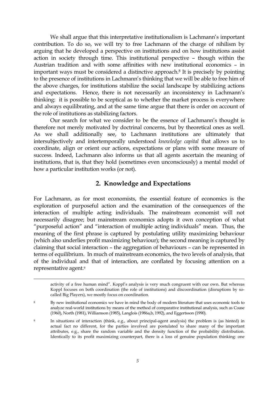We shall argue that this interpretative institutionalism is Lachmann's important contribution. To do so, we will try to free Lachmann of the charge of nihilism by arguing that he developed a perspective on institutions and on how institutions assist action in society through time. This institutional perspective – though within the Austrian tradition and with some affinities with new institutional economics – in important ways must be considered a distinctive approach.<sup>8</sup> It is precisely by pointing to the presence of institutions in Lachmann's thinking that we will be able to free him of the above charges, for institutions stabilize the social landscape by stabilizing actions and expectations. Hence, there is not necessarily an inconsistency in Lachmann's thinking: it is possible to be sceptical as to whether the market process is everywhere and always equilibrating, and at the same time argue that there is order on account of the role of institutions as stabilizing factors.

 Our search for what we consider to be the essence of Lachmann's thought is therefore not merely motivated by doctrinal concerns, but by theoretical ones as well. As we shall additionally see, to Lachmann institutions are ultimately that intersubjectively and intertemporally understood *knowledge capital* that allows us to coordinate, align or orient our actions, expectations or plans with some measure of success. Indeed, Lachmann also informs us that all agents ascertain the meaning of institutions, that is, that they hold (sometimes even unconsciously) a mental model of how a particular institution works (or not).

# **2. Knowledge and Expectations**

For Lachmann, as for most economists, the essential feature of economics is the exploration of purposeful action and the examination of the consequences of the interaction of multiple acting individuals. The mainstream economist will not necessarily disagree; but mainstream economics adopts it own conception of what "purposeful action" and "interaction of multiple acting individuals" mean. Thus, the meaning of the first phrase is captured by postulating utility maximizing behaviour (which also underlies profit maximizing behaviour); the second meaning is captured by claiming that social interaction – the aggregation of behaviours – can be represented in terms of equilibrium. In much of mainstream economics, the two levels of analysis, that of the individual and that of interaction, are conflated by focusing attention on a representative agent.<sup>9</sup>

activity of a free human mind". Koppl's analysis is very much congruent with our own. But whereas Koppl focuses on both coordination (the role of institutions) and discoordination (disruptions by socalled Big Players), we mostly focus on coordination.

<sup>&</sup>lt;sup>8</sup> By new institutional economics we have in mind the body of modern literature that uses economic tools to analyze real-world institutions by means of the method of comparative institutional analysis, such as Coase (1960), North (1981), Williamson (1985), Langlois (1986a,b, 1992), and Eggertsson (1990).

<sup>9</sup> In situations of interaction (think, e.g., about principal-agent analysis) the problem is (as hinted) in actual fact no different, for the parties involved are postulated to share many of the important attributes, e.g., share the random variable and the density function of the probability distribution. Identically to its profit maximizing counterpart, there is a loss of genuine population thinking: one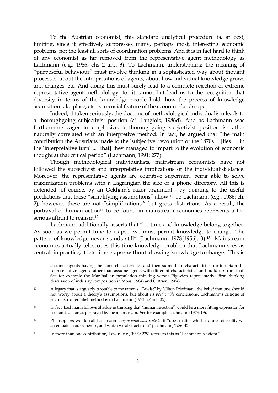To the Austrian economist, this standard analytical procedure is, at best, limiting, since it effectively suppresses many, perhaps most, interesting economic problems, not the least all sorts of coordination problems. And it is in fact hard to think of any economist as far removed from the representative agent methodology as Lachmann (e.g., 1986: chs 2 and 3). To Lachmann, understanding the meaning of "purposeful behaviour" must involve thinking in a sophisticated way about thought processes, about the interpretations of agents, about how individual knowledge grows and changes, etc. And doing this must surely lead to a complete rejection of extreme representative agent methodology, for it cannot but lead us to the recognition that diversity in terms of the knowledge people hold, how the process of knowledge acquisition take place, etc. is a crucial feature of the economic landscape.

 Indeed, if taken seriously, the doctrine of methodological individualism leads to a thoroughgoing subjectivist position (cf. Langlois, 1986d). And as Lachmann was furthermore eager to emphasize, a thoroughgoing subjectivist position is rather naturally correlated with an interpretive method. In fact, he argued that "the main contribution the Austrians made to the 'subjective' revolution of the 1870s ... [lies] ... in the 'interpretative turn' ... [that] they managed to impart to the evolution of economic thought at that critical period" (Lachmann, 1991: 277).

 Though methodological individualists, mainstream economists have not followed the subjectivist and interpretative implications of the individualist stance. Moreover, the representative agents are cognitive supermen, being able to solve maximization problems with a Lagrangian the size of a phone directory. All this is defended, of course, by an Ockham's razor argument: by pointing to the useful predictions that these "simplifying assumptions" allow.<sup>10</sup> To Lachmann (e.g., 1986: ch. 2), however, these are not "simplifications," but gross distortions. As a result, the portrayal of human action<sup>11</sup> to be found in mainstream economics represents a too serious affront to realism.<sup>12</sup>

 Lachmann additionally asserts that "… time and knowledge belong together. As soon as we permit time to elapse, we must permit knowledge to change. The pattern of knowledge never stands still" (Lachmann, 1978[1956]: 3).<sup>13</sup> Mainstream economics actually telescopes this time-knowledge problem that Lachmann sees as central: in practice, it lets time elapse without allowing knowledge to change. This is

13 In more than one contribution, Lewin (e.g., 1994: 239) refers to this as "Lachmann's axiom."

assumes agents having the same characteristics and then sums these characteristics up to obtain the representative agent; rather than assume agents with different characteristics and build up from that. See for example the Marshallian population thinking versus Pigovian representative firm thinking discussion of industry composition in Moss (1984) and O'Brien (1984).

<sup>10</sup> A legacy that is arguably traceable to the famous "F-twist" by Milton Friedman: the belief that one should not worry about a theory's assumptions, but about its *predictable* conclusions. Lachmann's critique of such instrumentalist method is in Lachmann (1971: 27 and 35).

<sup>11</sup> In fact, Lachmann follows Shackle in thinking that "human re-action" would be a more fitting expression for economic action as portrayed by the mainstream. See for example Lachmann (1973: 19).

<sup>12</sup> Philosophers would call Lachmann a *representational realist*: it "does matter which features of reality we accentuate in our schemes, and which we abstract from" (Lachmann, 1986: 42).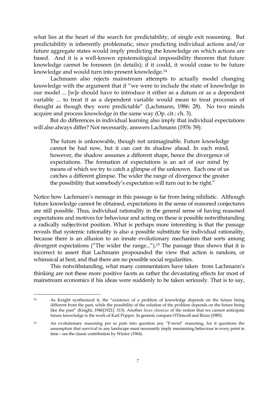what lies at the heart of the search for predictability, of single exit reasoning. But predictability is inherently problematic, since predicting individual actions and/or future aggregate states would imply predicting the knowledge on which actions are based. And it is a well-known epistemological impossibility theorem that future knowledge cannot be foreseen (in details); if it could, it would cease to be future knowledge and would turn into present knowledge.<sup>14</sup>

 Lachmann also rejects mainstream attempts to actually model changing knowledge with the argument that if "we were to include the state of knowledge in our model ... [w]e should have to introduce it either as a datum or as a dependent variable ... to treat it as a dependent variable would mean to treat processes of thought as though they were predictable" (Lachmann, 1986: 28). No two minds acquire and process knowledge in the same way (Op. cit.: ch. 3).

 But do differences in individual learning also imply that individual expectations will also always differ? Not necessarily, answers Lachmann (1976: 59):

The future is unknowable, though not unimaginable. Future knowledge cannot be had now, but it can cast its shadow ahead. In each mind, however, the shadow assumes a different shape, hence the divergence of expectations. The formation of expectations is an act of our mind by means of which we try to catch a glimpse of the unknown. Each one of us catches a different glimpse. The wider the range of divergence the greater the possibility that somebody's expectation will turn out to be right."

Notice how Lachmann's message in this passage is far from being nihilistic. Although future knowledge cannot be obtained, expectations in the sense of reasoned conjectures are still possible. Thus, individual rationality in the general sense of having reasoned expectations and motives for behaviour and acting on these is possible notwithstanding a radically subjectivist position. What is perhaps more interesting is that the passage reveals that systemic rationality is also a possible substitute for individual rationality, because there is an allusion to an innate evolutionary mechanism that sorts among divergent expectations ("The wider the range...").<sup>15</sup> The passage thus shows that it is incorrect to assert that Lachmann propounded the view that action is random, or whimsical at best, and that there are no possible social regularities.

 This notwithstanding, what many commentators have taken from Lachmann's thinking are not these more positive facets as rather the devastating effects for most of mainstream economics if his ideas were suddenly to be taken seriously. That is to say,

 $14$ <sup>14</sup> As Knight synthesized it, the "existence of a problem of knowledge depends on the future being different from the past, while the possibility of the solution of the problem depends on the future being like the past" (Knight, 1946[1921]: 313). Another *locus classicus* of the notion that we cannot anticipate future knowledge is the work of Karl Popper. In general, compare O'Driscoll and Rizzo (1985).

<sup>15</sup> An evolutionary reasoning per se puts into question any "F-twist" reasoning, for it questions the assumption that survival in any landscape must necessarily imply maximizing behaviour in every point in time – see the classic contribution by Winter (1964).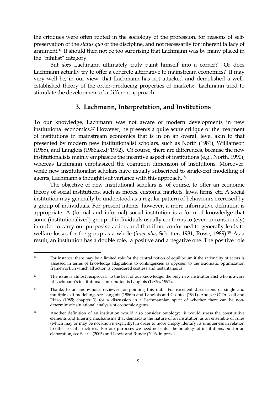the critiques were often rooted in the sociology of the profession, for reasons of selfpreservation of the *status quo* of the discipline, and not necessarily for inherent fallacy of argument.<sup>16</sup> It should then not be too surprising that Lachmann was by many placed in the "nihilist" category.

 But *does* Lachmann ultimately truly paint himself into a corner? Or does Lachmann actually try to offer a concrete alternative to mainstream economics? It may very well be, in our view, that Lachmann has not attacked and demolished a wellestablished theory of the order-producing properties of markets: Lachmann tried to stimulate the development of a different approach.

#### **3. Lachmann, Interpretation, and Institutions**

To our knowledge, Lachmann was not aware of modern developments in new institutional economics.<sup>17</sup> However, he presents a quite acute critique of the treatment of institutions in mainstream economics that is in on an overall level akin to that presented by modern new institutionalist scholars, such as North (1981), Williamson (1985), and Langlois (1986a,c,d; 1992). Of course, there are differences, because the new institutionalists mainly emphasize the incentive aspect of institutions (e.g., North, 1990), whereas Lachmann emphasized the cognition dimension of institutions. Moreover, while new institutionalist scholars have usually subscribed to single-exit modelling of agents, Lachmann's thought is at variance with this approach.<sup>18</sup>

 The objective of new institutional scholars is, of course, to offer an economic theory of social institutions, such as mores, customs, markets, laws, firms, etc. A social institution may generally be understood as a regular pattern of behaviours exercised by a group of individuals. For present intents, however, a more informative definition is appropriate. A (formal and informal) social institution is a form of knowledge that some (institutionalized) group of individuals usually conforms to (even unconsciously) in order to carry out purposive action, and that if not conformed to generally leads to welfare losses for the group as a whole (*inter alia*, Schotter, 1981; Rowe, 1989).<sup>19</sup> As a result, an institution has a double role, a positive and a negative one. The positive role

 $\overline{a}$ <sup>16</sup> For instance, there may be a limited role for the central notion of equilibrium if the rationality of actors is assessed in terms of knowledge adaptations to contingencies as opposed to the axiomatic optimization framework in which all action is considered costless and instantaneous.

<sup>&</sup>lt;sup>17</sup> The issue is almost reciprocal: to the best of our knowledge, the only new institutionalist who is aware of Lachmann's institutional contribution is Langlois (1986a, 1992).

<sup>18</sup> Thanks to an anonymous reviewer for pointing this out. For excellent discussions of single and multiple-exit modelling, see Langlois (1986b) and Langlois and Csontos (1991). And see O'Driscoll and Rizzo (1985; chapter 3) for a discussion in a Lachmannian spirit of whether there can be nondeterministic situational analysis of economic agents.

<sup>19</sup> Another definition of an institution would also consider ontology: it would stress the constitutive elements and filtering mechanisms that demarcate the nature of an institution as an ensemble of rules (which may or may be not known explicitly) in order to more crisply identify its uniqueness in relation to other social structures. For our purposes we need not enter the ontology of institutions, but for an elaboration, see Searle (2005) and Lewis and Runde (2006, in press).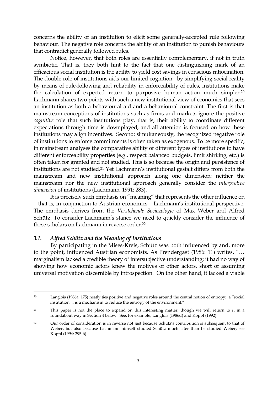concerns the ability of an institution to elicit some generally-accepted rule following behaviour. The negative role concerns the ability of an institution to punish behaviours that contradict generally followed rules.

 Notice, however, that both roles are essentially complementary, if not in truth symbiotic. That is, they both hint to the fact that one distinguishing mark of an efficacious social institution is the ability to yield cost savings in conscious ratiocination. The double role of institutions aids our limited cognition: by simplifying social reality by means of rule-following and reliability in enforceability of rules, institutions make the calculation of expected return to purposive human action much simpler.<sup>20</sup> Lachmann shares two points with such a new institutional view of economics that sees an institution as both a behavioural aid and a behavioural constraint. The first is that mainstream conceptions of institutions such as firms and markets ignore the positive *cognitive* role that such institutions play, that is, their ability to coordinate different expectations through time is downplayed, and all attention is focused on how these institutions may align incentives. Second: simultaneously, the recognized negative role of institutions to enforce commitments is often taken as exogenous. To be more specific, in mainstream analyses the comparative ability of different types of institutions to have different enforceability properties (e.g., respect balanced budgets, limit shirking, etc.) is often taken for granted and not studied. This is so because the origin and persistence of institutions are not studied.<sup>21</sup> Yet Lachmann's institutional gestalt differs from both the mainstream and new institutional approach along one dimension: neither the mainstream nor the new institutional approach generally consider the *interpretive dimension* of institutions (Lachmann, 1991: 283).

 It is precisely such emphasis on "meaning" that represents the other influence on – that is, in conjunction to Austrian economics – Lachmann's institutional perspective. The emphasis derives from the *Verstehende Sociozologie* of Max Weber and Alfred Schütz. To consider Lachmann's stance we need to quickly consider the influence of these scholars on Lachmann in reverse order.<sup>22</sup>

#### *3.1. Alfred Schütz and the Meaning of Institutions*

By participating in the Mises-Kreis, Schütz was both influenced by and, more to the point, influenced Austrian economists. As Prendergast (1986: 11) writes, "… marginalism lacked a credible theory of intersubjective understanding; it had no way of showing how economic actors knew the motives of other actors, short of assuming universal motivation discernible by introspection. On the other hand, it lacked a viable

 $\overline{a}$ <sup>20</sup> Langlois (1986a: 175) neatly ties positive and negative roles around the central notion of entropy: a "social institution ... is a mechanism to reduce the entropy of the environment."

<sup>21</sup> This paper is not the place to expand on this interesting matter, though we will return to it in a roundabout way in Section 4 below. See, for example, Langlois (1986d) and Koppl (1992).

<sup>&</sup>lt;sup>22</sup> Our order of consideration is in reverse not just because Schütz's contribution is subsequent to that of Weber, but also because Lachmann himself studied Schütz much later than he studied Weber; see Koppl (1994: 295-6).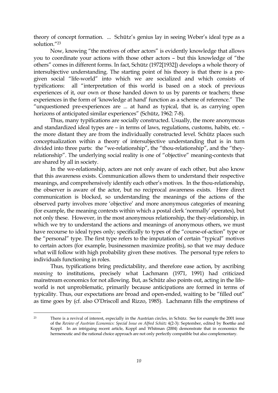theory of concept formation. ... Schütz's genius lay in seeing Weber's ideal type as a solution."<sup>23</sup>

 Now, knowing "the motives of other actors" is evidently knowledge that allows you to coordinate your actions with those other actors – but this knowledge of "the others" comes in different forms. In fact, Schütz (1972[1932]) develops a whole theory of intersubjective understanding. The starting point of his theory is that there is a pregiven social "life-world" into which we are socialized and which consists of typifications: all "interpretation of this world is based on a stock of previous experiences of it, our own or those handed down to us by parents or teachers; these experiences in the form of 'knowledge at hand' function as a scheme of reference." The "unquestioned pre-experiences are ... at hand as typical, that is, as carrying open horizons of anticipated similar experiences" (Schütz, 1962: 7-8).

 Thus, many typifications are socially constructed. Usually, the more anonymous and standardized ideal types are – in terms of laws, regulations, customs, habits, etc. – the more distant they are from the individually constructed level. Schütz places such conceptualization within a theory of intersubjective understanding that is in turn divided into three parts: the "we-relationship", the "thou-relationship", and the "theyrelationship". The underlying social reality is one of "objective" meaning-contexts that are shared by all in society.

 In the we-relationship, actors are not only aware of each other, but also know that this awareness exists. Communication allows them to understand their respective meanings, and comprehensively identify each other's motives. In the thou-relationship, the observer is aware of the actor, but no reciprocal awareness exists. Here direct communication is blocked, so understanding the meanings of the actions of the observed party involves more 'objective' and more anonymous categories of meaning (for example, the meaning contexts within which a postal clerk 'normally' operates), but not only these. However, in the most anonymous relationship, the they-relationship, in which we try to understand the actions and meanings of anonymous others, we must have recourse to ideal types only; specifically to types of the "course-of-action" type or the "personal" type. The first type refers to the imputation of certain "typical" motives to certain actors (for example, businessmen maximize profits), so that we may deduce what will follow with high probability given these motives. The personal type refers to individuals functioning in roles.

 Thus, typifications bring predictability, and therefore ease action, by ascribing *meaning* to institutions, precisely what Lachmann (1971, 1991) had criticized mainstream economics for not allowing. But, as Schütz also points out, acting in the lifeworld is not unproblematic, primarily because anticipations are formed in terms of typicality. Thus, our expectations are broad and open-ended, waiting to be "filled out" as time goes by (cf. also O'Driscoll and Rizzo, 1985). Lachmann fills the emptiness of

<sup>23</sup> There is a revival of interest, especially in the Austrian circles, in Schütz. See for example the 2001 issue of the *Review of Austrian Economics: Special Issue on Alfred Schütz* 4(2-3): September, edited by Boettke and Koppl. In an intriguing recent article, Koppl and Whitman (2004) demonstrate that in economics the hermeneutic and the rational choice approach are not only perfectly compatible but also complementary.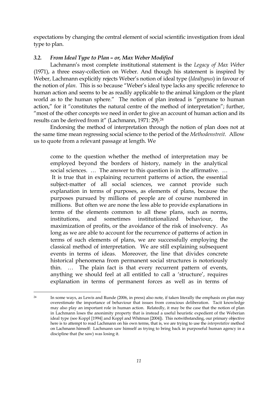expectations by changing the central element of social scientific investigation from ideal type to plan.

## *3.2. From Ideal Type to Plan – or, Max Weber Modified*

 Lachmann's most complete institutional statement is the *Legacy of Max Weber*  (1971), a three essay-collection on Weber. And though his statement is inspired by Weber, Lachmann explicitly rejects Weber's notion of ideal type (*Idealtypus*) in favour of the notion of *plan*. This is so because "Weber's ideal type lacks any specific reference to human action and seems to be as readily applicable to the animal kingdom or the plant world as to the human sphere." The notion of plan instead is "germane to human action," for it "constitutes the natural centre of the method of interpretation"; further, "most of the other concepts we need in order to give an account of human action and its results can be derived from it" (Lachmann, 1971: 29).<sup>24</sup>

 Endorsing the method of interpretation through the notion of plan does not at the same time mean regressing social science to the period of the *Methodenstreit*. Allow us to quote from a relevant passage at length. We

come to the question whether the method of interpretation may be employed beyond the borders of history, namely in the analytical social sciences. … The answer to this question is in the affirmative. … It is true that in explaining recurrent patterns of action, the essential subject-matter of all social sciences, we cannot provide such explanation in terms of purposes, as elements of plans, because the purposes pursued by millions of people are of course numbered in millions. But often we are none the less able to provide explanations in terms of the elements common to all these plans, such as norms, institutions, and sometimes institutionalized behaviour, the maximization of profits, or the avoidance of the risk of insolvency. As long as we are able to account for the recurrence of patterns of action in terms of such elements of plans, we are successfully employing the classical method of interpretation. We are still explaining subsequent events in terms of ideas. Moreover, the line that divides concrete historical phenomena from permanent social structures is notoriously thin. … The plain fact is that every recurrent pattern of events, anything we should feel at all entitled to call a 'structure', requires explanation in terms of permanent forces as well as in terms of

 $\overline{a}$ <sup>24</sup> In some ways, as Lewis and Runde (2006, in press) also note, if taken literally the emphasis on plan may overestimate the importance of behaviour that issues from conscious deliberation. Tacit knowledge may also play an important role in human action. Relatedly, it may be the case that the notion of plan in Lachmann loses the anonimity property that is instead a useful heuristic expedient of the Weberian ideal type (see Koppl [1994] and Koppl and Whitman [2004]). This notwithstanding, our primary objective here is to attempt to read Lachmann on his own terms, that is, we are trying to use the *interpretative* method on Lachmann himself: Lachmann saw himself as trying to bring back in purposeful human agency in a discipline that (he saw) was losing it.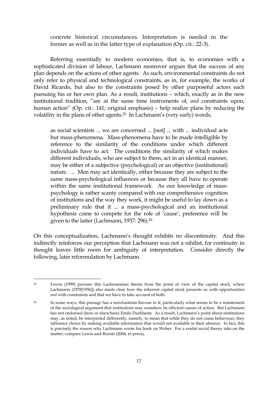concrete historical circumstances. Interpretation is needed in the former as well as in the latter type of explanation (Op. cit.: 22-3).

 Referring essentially to modern economies, that is, to economies with a sophisticated division of labour, Lachmann moreover argues that the success of any plan depends on the actions of other agents. As such, environmental constraints do not only refer to physical and technological constraints, as in, for example, the works of David Ricardo, but also to the constraints posed by other purposeful actors each pursuing his or her own plan. As a result, institutions – which, exactly as in the new institutional tradition, "are at the same time instruments of, *and* constraints upon, human action" (Op. cit.: 141; original emphasis) – help realize plans by reducing the volatility in the plans of other agents.<sup>25</sup> In Lachmann's (very early) words,

as social scientists ... we are concerned ... [not] ... with ... individual acts but mass-phenomena. Mass-phenomena have to be made intelligible by reference to the similarity of the conditions under which different individuals have to act. The conditions the similarity of which makes different individuals, who are subject to them, act in an identical manner, may be either of a subjective (psychological) or an objective (institutional) nature. ... Men may act identically, either because they are subject to the same mass-psychological influences or because they all have to operate within the same institutional framework. As our knowledge of masspsychology is rather scanty compared with our comprehensive cognition of institutions and the way they work, it might be useful to lay down as a preliminary rule that if ... a mass-psychological and an institutional hypothesis come to compete for the role of 'cause', preference will be given to the latter (Lachmann, 1937: 296).<sup>26</sup>

On this conceptualization, Lachmann's thought exhibits no discontinuity. And this indirectly reinforces our perception that Lachmann was not a nihilist, for continuity in thought leaves little room for ambiguity of interpretation. Consider directly the following, later reformulation by Lachmann.

<sup>25</sup> Lewin (1999) pursues this Lachmannian theme from the point of view of the capital stock, where Lachmann (1978[1956]) also made clear how the inherent capital stock presents us with opportunities *and* with constraints and that we have to take account of both.

<sup>&</sup>lt;sup>26</sup> In some ways, this passage has a nonAustrian flavour to it, particularly what seems to be a restatement of the sociological argument that institutions may somehow be efficient causes of action. But Lachmann has not endorsed (here or elsewhere) Emile Durkheim. As a result, Lachmann's point about institutions may, as noted, be interpreted differently, namely, to mean that while they do not cause behaviour, they influence choice by making available information that would not available in their absence. In fact, this is precisely the reason why Lachmann wrote his book on Weber. For a realist social theory take on the matter, compare Lewis and Runde (2006, in press).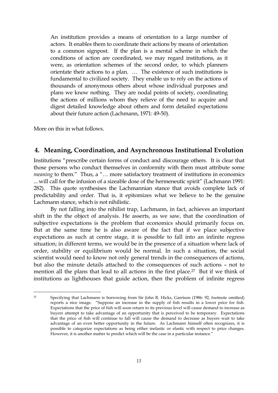An institution provides a means of orientation to a large number of actors. It enables them to coordinate their actions by means of orientation to a common signpost. If the plan is a mental scheme in which the conditions of action are coordinated, we may regard institutions, as it were, as orientation schemes of the second order, to which planners orientate their actions to a plan. … The existence of such institutions is fundamental to civilized society. They enable us to rely on the actions of thousands of anonymous others about whose individual purposes and plans we know nothing. They are nodal points of society, coordinating the actions of millions whom they relieve of the need to acquire and digest detailed knowledge about others and form detailed expectations about their future action (Lachmann, 1971: 49-50).

More on this in what follows.

## **4. Meaning, Coordination, and Asynchronous Institutional Evolution**

Institutions "prescribe certain forms of conduct and discourage others. It is clear that those persons who conduct themselves in conformity with them must attribute some *meaning* to them." Thus, a "... more satisfactory treatment of institutions in economics ... will call for the infusion of a sizeable dose of the hermeneutic spirit" (Lachmann 1991: 282). This quote synthesises the Lachmannian stance that avoids complete lack of predictability and order. That is, it epitomizes what we believe to be the genuine Lachmann stance, which is not nihilistic.

 By not falling into the nihilist trap, Lachmann, in fact, achieves an important shift in the the object of analysis. He asserts, as we saw, that the coordination of subjective expectations is the problem that economics should primarily focus on. But at the same time he is also aware of the fact that if we place subjective expectations as such at centre stage, it is possible to fall into an infinite regress situation; in different terms, we would be in the presence of a situation where lack of order, stability or equilibrium would be normal. In such a situation, the social scientist would need to know not only general trends in the consequences of actions, but also the minute details attached to the consequences of such actions – not to mention all the plans that lead to all actions in the first place.<sup>27</sup> But if we think of institutions as lighthouses that guide action, then the problem of infinite regress

 $\overline{a}$ <sup>27</sup> Specifying that Lachmann is borrowing from Sir John R. Hicks, Garrison (1986: 92, footnote omitted) reports a nice image. "Suppose an increase in the supply of fish results in a lower price for fish. Expectations that the price of fish will soon return to its previous level will cause demand to increase as buyers attempt to take advantage of an opportunity that is perceived to be temporary. Expectations that the price of fish will continue to fall will cause the demand to decrease as buyers wait to take advantage of an even better opportunity in the future. As Lachmann himself often recognizes, it is possible to categorize expectations as being either inelastic or elastic with respect to price changes. However, it is another matter to predict which will be the case in a particular instance."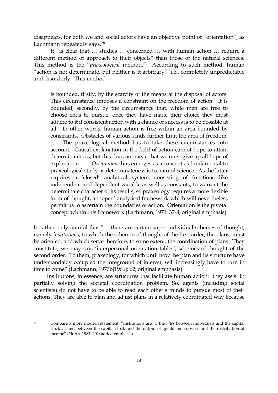disappears, for both we and social actors have an objective point of "orientation", as Lachmann repeatedly says.<sup>28</sup>

 It "is clear that … studies … concerned … with human action … require a different method of approach to their objects" than those of the natural sciences. This method is the "*praxeological* method." According to such method, human "action is not determinate, but neither is it arbitrary", i.e., completely unpredictable and disorderly. This method

is bounded, firstly, by the scarcity of the means at the disposal of actors. This circumstance imposes a constraint on the freedom of action. It is bounded, secondly, by the circumstance that, while men are free to choose ends to pursue, once they have made their choice they must adhere to it if consistent action with a chance of success is to be possible at all. In other words, human action is free within an area bounded by constraints. Obstacles of various kinds further limit the area of freedom. … The praxeological method has to take these circumstances into account. Causal explanation in the field of action cannot hope to attain determinateness, but this does not mean that we must give up all hope of explanation. … *Orientation* thus emerges as a concept as fundamental to praxeological study as determinateness is to natural science. As the latter requires a 'closed' analytical system, consisting of functions like independent and dependent variable as well as constants, to warrant the determinate character of its results, so praxeology requires a more flexible form of thought, an 'open' analytical framework which will nevertheless permit us to ascertain the boundaries of action. Orientation is the pivotal concept within this framework (Lachmann, 1971: 37-8; original emphasis).

It is then only natural that "… there are certain super-individual schemes of thought, namely *institutions*, to which the schemes of thought of the first order, the plans, must be oriented, and which serve therefore, to some extent, the coordination of plans. They constitute, we may say, 'interpersonal orientation tables', schemes of thought of the second order. To them, praxeology, for which until now the plan and its structure have understandably occupied the foreground of interest, will increasingly have to turn in time to come" (Lachmann, 1977b[1966]: 62; original emphasis).

 Institutions, in essence, are structures that facilitate human action: they assist in partially solving the societal coordination problem. So, agents (including social scientists) do not have to be able to read each other's minds to pursue most of their actions. They are able to plan and adjust plans in a relatively coordinated way because

 $\overline{a}$ <sup>28</sup> Compare a more modern statement. "Institutions are … the *filter* between individuals and the capital stock … and between the capital stock and the output of goods and services and the distribution of income" (North, 1981: 201; added emphasis).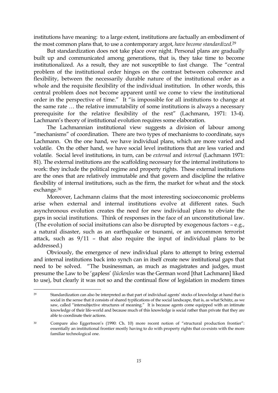institutions have meaning: to a large extent, institutions are factually an embodiment of the most common plans that, to use a contemporary argot, *have become standardized*. 29

 But standardization does not take place over night. Personal plans are gradually built up and communicated among generations, that is, they take time to become institutionalized. As a result, they are not susceptible to fast change. The "central problem of the institutional order hinges on the contrast between coherence and flexibility, between the necessarily durable nature of the institutional order as a whole and the requisite flexibility of the individual institution. In other words, this central problem does not become apparent until we come to view the institutional order in the perspective of time." It "is impossible for all institutions to change at the same rate … the relative immutability of some institutions is always a necessary prerequisite for the relative flexibility of the rest" (Lachmann, 1971: 13-4). Lachmann's theory of institutional evolution requires some elaboration.

 The Lachmannian institutional view suggests a division of labour among "mechanisms" of coordination. There are two types of mechanisms to coordinate, says Lachmann. On the one hand, we have individual plans, which are more varied and volatile. On the other hand, we have social level institutions that are less varied and volatile. Social level institutions, in turn, can be *external* and *internal* (Lachmann 1971: 81). The external institutions are the scaffolding necessary for the internal institutions to work: they include the political regime and property rights. These external institutions are the ones that are relatively immutable and that govern and discipline the relative flexibility of internal institutions, such as the firm, the market for wheat and the stock exchange.<sup>30</sup>

 Moreover, Lachmann claims that the most interesting socioeconomic problems arise when external and internal institutions evolve at different rates. Such asynchronous evolution creates the need for new individual plans to obviate the gaps in social institutions. Think of responses in the face of an unconstitutional law. (The evolution of social insitutions can also be disrupted by exogenous factors – e.g., a natural disaster, such as an earthquake or tsunami, or an uncommon terrorist attack, such as 9/11 – that also require the input of individual plans to be addressed.)

 Obviously, the emergence of new individual plans to attempt to bring external and internal institutions back into synch can in itself create new institutional gaps that need to be solved. "The businessman, as much as magistrates and judges, must presume the Law to be 'gapless' (*lückenlos* was the German word [that Lachmann] liked to use), but clearly it was not so and the continual flow of legislation in modern times

<sup>29</sup> Standardization can also be interpreted as that part of individual agents' stocks of knowledge at hand that is social in the sense that it consists of shared typifications of the social landscape, that is, as what Schütz, as we saw, called "intersubjective structures of meaning." It is because agents come equipped with an intimate knowledge of their life-world and because much of this knowledge is social rather than private that they are able to coordinate their actions.

<sup>30</sup> Compare also Eggertsson's (1990: Ch. 10) more recent notion of "structural production frontier": essentially an institutional frontier mostly having to do with property rights that co-exists with the more familiar technological one.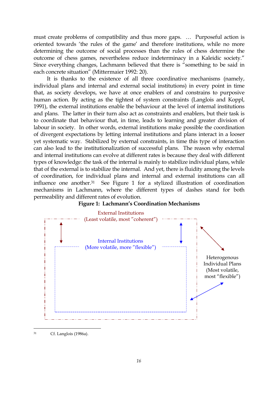must create problems of compatibility and thus more gaps. … Purposeful action is oriented towards 'the rules of the game' and therefore institutions, while no more determining the outcome of social processes than the rules of chess determine the outcome of chess games, nevertheless reduce indeterminacy in a Kaleidic society." Since everything changes, Lachmann believed that there is "something to be said in each concrete situation" (Mittermaier 1992: 20).

 It is thanks to the existence of all three coordinative mechanisms (namely, individual plans and internal and external social institutions) in every point in time that, as society develops, we have at once enablers of and constrains to purposive human action. By acting as the tightest of system constraints (Langlois and Koppl, 1991), the external institutions enable the behaviour at the level of internal institutions and plans. The latter in their turn also act as constraints and enablers, but their task is to coordinate that behaviour that, in time, leads to learning and greater division of labour in society. In other words, external institutions make possible the coordination of divergent expectations by letting internal institutions and plans interact in a looser yet systematic way. Stabilized by external constraints, in time this type of interaction can also lead to the institutionalization of successful plans. The reason why external and internal institutions can evolve at different rates is because they deal with different types of knowledge: the task of the internal is mainly to stabilize individual plans, while that of the external is to stabilize the internal. And yet, there is fluidity among the levels of coordination, for individual plans and internal and external institutions can all influence one another.<sup>31</sup> See Figure 1 for a stylized illustration of coordination mechanisms in Lachmann, where the different types of dashes stand for both permeability and different rates of evolution.





<sup>31</sup> Cf. Langlois (1986a).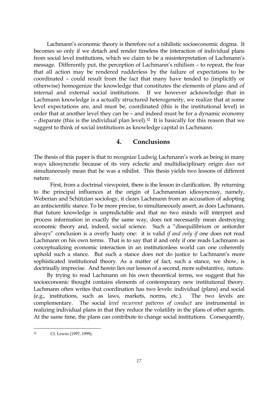Lachmann's economic theory is therefore *not* a nihilistic socioeconomic dogma. It becomes so only if we detach and render timeless the interaction of individual plans from social level institutions, which we claim to be a misinterpretation of Lachmann's message. Differently put, the perception of Lachmann's nihilism – to repeat, the fear that all action may be rendered rudderless by the failure of expectations to be coordinated – could result from the fact that many have tended to (implicitly or otherwise) homogenize the knowledge that constitutes the elements of plans and of internal and external social institutions. If we however acknowledge that in Lachmann knowledge is a actually structured heterogeneity, we realize that at some level expectations are, and must be, coordinated (this is the institutional level) in order that at another level they can be – and indeed must be for a dynamic economy – disparate (this is the individual plan level).<sup>32</sup> It is basically for this reason that we suggest to think of social institutions as knowledge capital in Lachmann.

### **4. Conclusions**

The thesis of this paper is that to recognize Ludwig Lachmann's work as being in many ways idiosyncratic because of its very eclectic and multidisciplinary origin *does not* simultaneously mean that he was a nihilist. This thesis yields two lessons of different nature.

 First, from a doctrinal viewpoint, there is the lesson in clarification. By returning to the principal influences at the origin of Lachmannian idiosyncrasy, namely, Weberian and Schützian sociology, it clears Lachmann from an accusation of adopting an antiscientific stance. To be more precise, to simultaneously assert, as does Lachmann, that future knowledge is unpredictable and that no two minds will interpret and process information in exactly the same way, does not necessarily mean destroying economic theory and, indeed, social science. Such a "disequilibrium or antiorder always" conclusion is a overly hasty one: it is valid *if and only if* one does not read Lachmann on his own terms. That is to say that if and only if one reads Lachmann as conceptualizing economic interaction in an institutionless world can one coherently uphold such a stance. But such a stance does not do justice to Lachmann's more sophisticated institutional theory. As a matter of fact, such a stance, we show, is doctrinally imprecise. And herein lies our lesson of a second, more substantive, nature.

 By trying to read Lachmann on his own theoretical terms, we suggest that his socioeconomic thought contains elements of contemporary new institutional theory. Lachmann often writes that coordination has two levels: individual (plans) and social (e.g., institutions, such as laws, markets, norms, etc.). The two levels are complementary. The social *level recurrent patterns of conduct* are instrumental in realizing individual plans in that they reduce the volatility in the plans of other agents. At the same time, the plans can contribute to change social institutions. Consequently,

<sup>32</sup> Cf. Lewin (1997, 1999).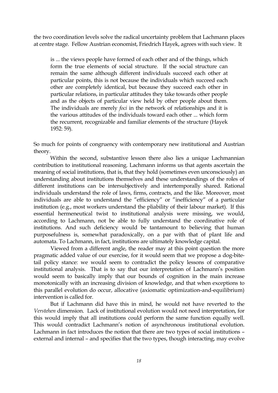the two coordination levels solve the radical uncertainty problem that Lachmann places at centre stage. Fellow Austrian economist, Friedrich Hayek, agrees with such view. It

is ... the views people have formed of each other and of the things, which form the true elements of social structure. If the social structure can remain the same although different individuals succeed each other at particular points, this is not because the individuals which succeed each other are completely identical, but because they succeed each other in particular relations, in particular attitudes they take towards other people and as the objects of particular view held by other people about them. The individuals are merely *foci* in the network of relationships and it is the various attitudes of the individuals toward each other ... which form the recurrent, recognizable and familiar elements of the structure (Hayek 1952: 59).

So much for points of congruency with contemporary new institutional and Austrian theory.

 Within the second, substantive lesson there also lies a unique Lachmannian contribution to institutional reasoning. Lachmann informs us that agents ascertain the meaning of social institutions, that is, that they hold (sometimes even unconsciously) an understanding about institutions themselves and these understandings of the roles of different institutions can be intersubjectively and intertemporally shared. Rational individuals understand the role of laws, firms, contracts, and the like. Moreover, most individuals are able to understand the "efficiency" or "inefficiency" of a particular institution (e.g., most workers understand the pliability of their labour market). If this essential hermeneutical twist to institutional analysis were missing, we would, according to Lachmann, not be able to fully understand the coordinative role of institutions. And such deficiency would be tantamount to believing that human purposefulness is, somewhat paradoxically, on a par with that of plant life and automata. To Lachmann, in fact, institutions are ultimately knowledge capital.

 Viewed from a different angle, the reader may at this point question the more pragmatic added value of our exercise, for it would seem that we propose a dog-bitetail policy stance: we would seem to contradict the policy lessons of comparative institutional analysis. That is to say that our interpretation of Lachmann's position would seem to basically imply that our bounds of cognition in the main increase monotonically with an increasing division of knowledge, and that when exceptions to this parallel evolution do occur, allocative (axiomatic optimization-and-equilibrium) intervention is called for.

 But if Lachmann did have this in mind, he would not have reverted to the *Verstehen* dimension. Lack of institutional evolution would not need interpretation, for this would imply that all institutions could perform the same function equally well. This would contradict Lachmann's notion of asynchronous institutional evolution. Lachmann in fact introduces the notion that there are two types of social institutions – external and internal – and specifies that the two types, though interacting, may evolve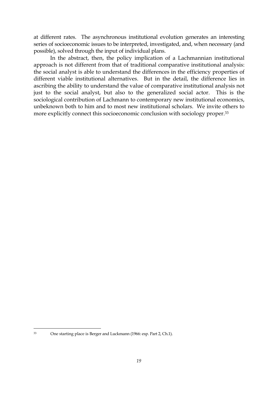at different rates. The asynchronous institutional evolution generates an interesting series of socioeconomic issues to be interpreted, investigated, and, when necessary (and possible), solved through the input of individual plans.

 In the abstract, then, the policy implication of a Lachmannian institutional approach is not different from that of traditional comparative institutional analysis: the social analyst is able to understand the differences in the efficiency properties of different viable institutional alternatives. But in the detail, the difference lies in ascribing the ability to understand the value of comparative institutional analysis not just to the social analyst, but also to the generalized social actor. This is the sociological contribution of Lachmann to contemporary new institutional economics, unbeknown both to him and to most new institutional scholars. We invite others to more explicitly connect this socioeconomic conclusion with sociology proper.<sup>33</sup>

 $\overline{a}$ 

<sup>33</sup> One starting place is Berger and Luckmann (1966: esp. Part 2, Ch.1).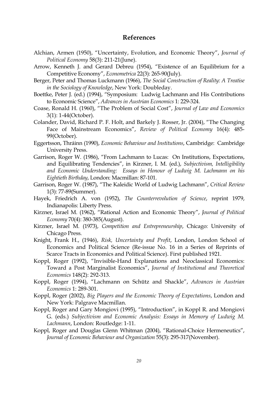#### **References**

- Alchian, Armen (1950), "Uncertainty, Evolution, and Economic Theory", *Journal of Political Economy* 58(3): 211-21(June).
- Arrow, Kenneth J. and Gerard Debreu (1954), "Existence of an Equilibrium for a Competitive Economy", *Econometrica* 22(3): 265-90(July).
- Berger, Peter and Thomas Luckmann (1966), *The Social Construction of Reality: A Treatise in the Sociology of Knowledge*, New York: Doubleday.
- Boettke, Peter J. (ed.) (1994), "Symposium: Ludwig Lachmann and His Contributions to Economic Science", *Advances in Austrian Economics* 1: 229-324.
- Coase, Ronald H. (1960), "The Problem of Social Cost", *Journal of Law and Economics* 3(1): 1-44(October).
- Colander, David, Richard P. F. Holt, and Barkely J. Rosser, Jr. (2004), "The Changing Face of Mainstream Economics", *Review of Political Economy* 16(4): 485- 99(October).
- Eggertsson, Thráinn (1990), *Economic Behaviour and Institutions*, Cambridge: Cambridge University Press.
- Garrison, Roger W. (1986), "From Lachmann to Lucas: On Institutions, Expectations, and Equilibrating Tendencies", in Kirzner, I. M. (ed.), *Subjectivism, Intelligibility and Economic Understanding: Essays in Honour of Ludwig M. Lachmann on his Eightieth Birthday*, London: Macmillan: 87-101.
- Garrison, Roger W. (1987), "The Kaleidic World of Ludwig Lachmann", *Critical Review* 1(3): 77-89(Summer).
- Hayek, Friedrich A. von (1952), *The Counterrevolution of Science*, reprint 1979, Indianapolis: Liberty Press.
- Kirzner, Israel M. (1962), "Rational Action and Economic Theory", *Journal of Political Economy* 70(4): 380-385(August).
- Kirzner, Israel M. (1973), *Competition and Entrepreneurship*, Chicago: University of Chicago Press.
- Knight, Frank H., (1946), *Risk, Uncertainty and Profit*, London, London School of Economics and Political Science (Re-issue No. 16 in a Series of Reprints of Scarce Tracts in Economics and Political Science). First published 1921.
- Koppl, Roger (1992), "Invisible-Hand Explanations and Neoclassical Economics: Toward a Post Marginalist Economics", *Journal of Institutional and Theoretical Economics* 148(2): 292-313.
- Koppl, Roger (1994), "Lachmann on Schütz and Shackle", *Advances in Austrian Economics* 1: 289-301.
- Koppl, Roger (2002), *Big Players and the Economic Theory of Expectations*, London and New York: Palgrave Macmillan.
- Koppl, Roger and Gary Mongiovi (1995), "Introduction", in Koppl R. and Mongiovi G. (eds.) *Subjectivism and Economic Analysis: Essays in Memory of Ludwig M. Lachmann*, London: Routledge: 1-11.
- Koppl, Roger and Douglas Glenn Whitman (2004), "Rational-Choice Hermeneutics", *Journal of Economic Behaviour and Organization* 55(3): 295-317(November).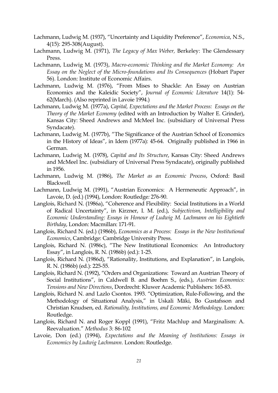- Lachmann, Ludwig M. (1937), "Uncertainty and Liquidity Preference", *Economica*, N.S., 4(15): 295-308(August).
- Lachmann, Ludwig M. (1971), *The Legacy of Max Weber,* Berkeley: The Glendessary Press.
- Lachmann, Ludwig M. (1973), *Macro-economic Thinking and the Market Economy: An Essay on the Neglect of the Micro-foundations and Its Consequences* (Hobart Paper 56). London: Institute of Economic Affairs.
- Lachmann, Ludwig M. (1976), "From Mises to Shackle: An Essay on Austrian Economics and the Kaleidic Society", *Journal of Economic Literature* 14(1): 54- 62(March). (Also reprinted in Lavoie 1994.)
- Lachmann, Ludwig M. (1977a), *Capital, Expectations and the Market Process: Essays on the Theory of the Market Economy* (edited with an Introduction by Walter E. Grinder), Kansas City: Sheed Andrews and McMeel Inc. (subsidiary of Universal Press Syndacate).
- Lachmann, Ludwig M. (1977b), "The Significance of the Austrian School of Economics in the History of Ideas", in Idem (1977a): 45-64. Originally published in 1966 in German.
- Lachmann, Ludwig M. (1978), *Capital and Its Structure*, Kansas City: Sheed Andrews and McMeel Inc. (subsidiary of Universal Press Syndacate), originally published in 1956.
- Lachmann, Ludwig M. (1986), *The Market as an Economic Process*, Oxford: Basil Blackwell.
- Lachmann, Ludwig M. (1991), "Austrian Economics: A Hermeneutic Approach", in Lavoie, D. (ed.) (1994), London: Routledge*:* 276-90.
- Langlois, Richard N. (1986a), "Coherence and Flexibility: Social Institutions in a World of Radical Uncertainty", in Kirzner, I. M. (ed.), *Subjectivism, Intelligibility and Economic Understanding: Essays in Honour of Ludwig M. Lachmann on his Eightieth Birthday*, London: Macmillan: 171-91.
- Langlois, Richard N. (ed.) (1986b), *Economics as a Process: Essays in the New Institutional Economics*, Cambridge: Cambridge University Press.
- Langlois, Richard N. (1986c), "The New Institutional Economics: An Introductory Essay", in Langlois, R. N. (1986b) (ed.): 1-25.
- Langlois, Richard N. (1986d), "Rationality, Institutions, and Explanation", in Langlois, R. N. (1986b) (ed.): 225-55.
- Langlois, Richard N. (1992), "Orders and Organizations: Toward an Austrian Theory of Social Institutions", in Caldwell B. and Boehm S., (eds.), *Austrian Economics: Tensions and New Directions*, Dordrecht: Kluwer Academic Publishers: 165-83.
- Langlois, Richard N. and Lazlo Csontos. 1993. "Optimization, Rule-Following, and the Methodology of Situational Analysis," in Uskali Mäki, Bo Gustafsson and Christian Knudsen, ed. *Rationality, Institutions, and Economic Methodology*. London: Routledge.
- Langlois, Richard N. and Roger Koppl (1991), "Fritz Machlup and Marginalism: A. Reevaluation." *Methodus* 3: 86-102
- Lavoie, Don (ed.) (1994), *Expectations and the Meaning of Institutions: Essays in Economics by Ludwig Lachmann.* London: Routledge.